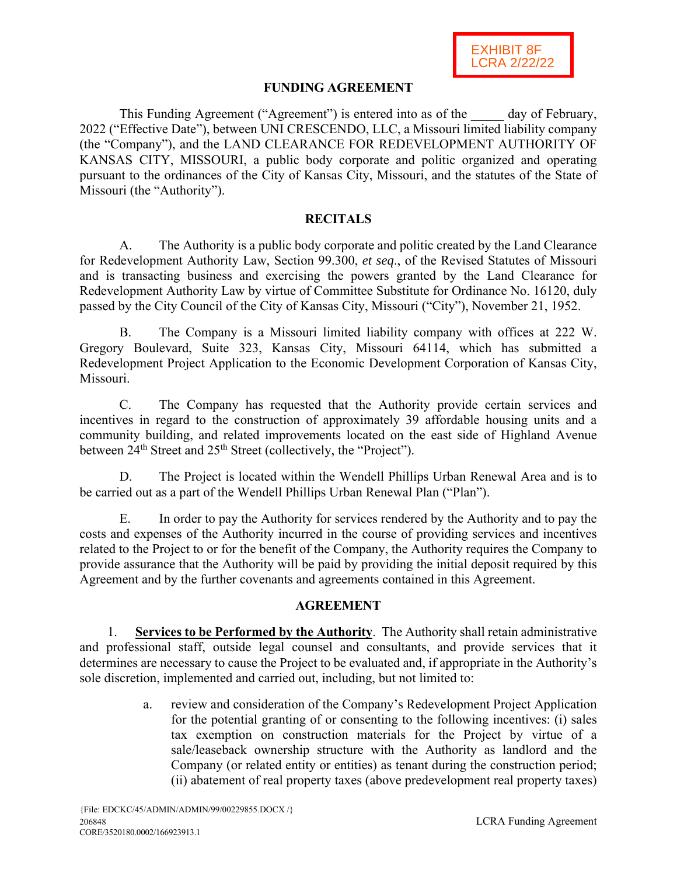## **FUNDING AGREEMENT**

This Funding Agreement ("Agreement") is entered into as of the day of February, 2022 ("Effective Date"), between UNI CRESCENDO, LLC, a Missouri limited liability company (the "Company"), and the LAND CLEARANCE FOR REDEVELOPMENT AUTHORITY OF KANSAS CITY, MISSOURI, a public body corporate and politic organized and operating pursuant to the ordinances of the City of Kansas City, Missouri, and the statutes of the State of Missouri (the "Authority").

## **RECITALS**

A. The Authority is a public body corporate and politic created by the Land Clearance for Redevelopment Authority Law, Section 99.300, *et seq*., of the Revised Statutes of Missouri and is transacting business and exercising the powers granted by the Land Clearance for Redevelopment Authority Law by virtue of Committee Substitute for Ordinance No. 16120, duly passed by the City Council of the City of Kansas City, Missouri ("City"), November 21, 1952.

B. The Company is a Missouri limited liability company with offices at 222 W. Gregory Boulevard, Suite 323, Kansas City, Missouri 64114, which has submitted a Redevelopment Project Application to the Economic Development Corporation of Kansas City, Missouri.

C. The Company has requested that the Authority provide certain services and incentives in regard to the construction of approximately 39 affordable housing units and a community building, and related improvements located on the east side of Highland Avenue between  $24<sup>th</sup>$  Street and  $25<sup>th</sup>$  Street (collectively, the "Project").

D. The Project is located within the Wendell Phillips Urban Renewal Area and is to be carried out as a part of the Wendell Phillips Urban Renewal Plan ("Plan").

E. In order to pay the Authority for services rendered by the Authority and to pay the costs and expenses of the Authority incurred in the course of providing services and incentives related to the Project to or for the benefit of the Company, the Authority requires the Company to provide assurance that the Authority will be paid by providing the initial deposit required by this Agreement and by the further covenants and agreements contained in this Agreement.

## **AGREEMENT**

1. **Services to be Performed by the Authority**. The Authority shall retain administrative and professional staff, outside legal counsel and consultants, and provide services that it determines are necessary to cause the Project to be evaluated and, if appropriate in the Authority's sole discretion, implemented and carried out, including, but not limited to:

> a. review and consideration of the Company's Redevelopment Project Application for the potential granting of or consenting to the following incentives: (i) sales tax exemption on construction materials for the Project by virtue of a sale/leaseback ownership structure with the Authority as landlord and the Company (or related entity or entities) as tenant during the construction period; (ii) abatement of real property taxes (above predevelopment real property taxes)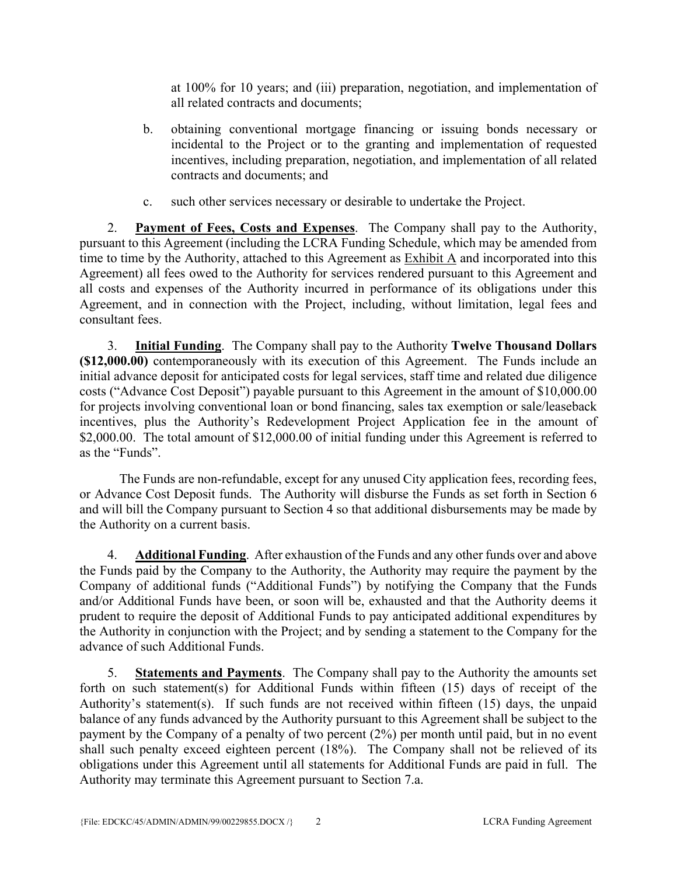at 100% for 10 years; and (iii) preparation, negotiation, and implementation of all related contracts and documents;

- b. obtaining conventional mortgage financing or issuing bonds necessary or incidental to the Project or to the granting and implementation of requested incentives, including preparation, negotiation, and implementation of all related contracts and documents; and
- c. such other services necessary or desirable to undertake the Project.

2. **Payment of Fees, Costs and Expenses**. The Company shall pay to the Authority, pursuant to this Agreement (including the LCRA Funding Schedule, which may be amended from time to time by the Authority, attached to this Agreement as Exhibit A and incorporated into this Agreement) all fees owed to the Authority for services rendered pursuant to this Agreement and all costs and expenses of the Authority incurred in performance of its obligations under this Agreement, and in connection with the Project, including, without limitation, legal fees and consultant fees.

3. **Initial Funding**. The Company shall pay to the Authority **Twelve Thousand Dollars (\$12,000.00)** contemporaneously with its execution of this Agreement. The Funds include an initial advance deposit for anticipated costs for legal services, staff time and related due diligence costs ("Advance Cost Deposit") payable pursuant to this Agreement in the amount of \$10,000.00 for projects involving conventional loan or bond financing, sales tax exemption or sale/leaseback incentives, plus the Authority's Redevelopment Project Application fee in the amount of \$2,000.00. The total amount of \$12,000.00 of initial funding under this Agreement is referred to as the "Funds".

The Funds are non-refundable, except for any unused City application fees, recording fees, or Advance Cost Deposit funds. The Authority will disburse the Funds as set forth in Section 6 and will bill the Company pursuant to Section 4 so that additional disbursements may be made by the Authority on a current basis.

4. **Additional Funding**. After exhaustion of the Funds and any other funds over and above the Funds paid by the Company to the Authority, the Authority may require the payment by the Company of additional funds ("Additional Funds") by notifying the Company that the Funds and/or Additional Funds have been, or soon will be, exhausted and that the Authority deems it prudent to require the deposit of Additional Funds to pay anticipated additional expenditures by the Authority in conjunction with the Project; and by sending a statement to the Company for the advance of such Additional Funds.

5. **Statements and Payments**. The Company shall pay to the Authority the amounts set forth on such statement(s) for Additional Funds within fifteen (15) days of receipt of the Authority's statement(s). If such funds are not received within fifteen (15) days, the unpaid balance of any funds advanced by the Authority pursuant to this Agreement shall be subject to the payment by the Company of a penalty of two percent (2%) per month until paid, but in no event shall such penalty exceed eighteen percent (18%). The Company shall not be relieved of its obligations under this Agreement until all statements for Additional Funds are paid in full. The Authority may terminate this Agreement pursuant to Section 7.a.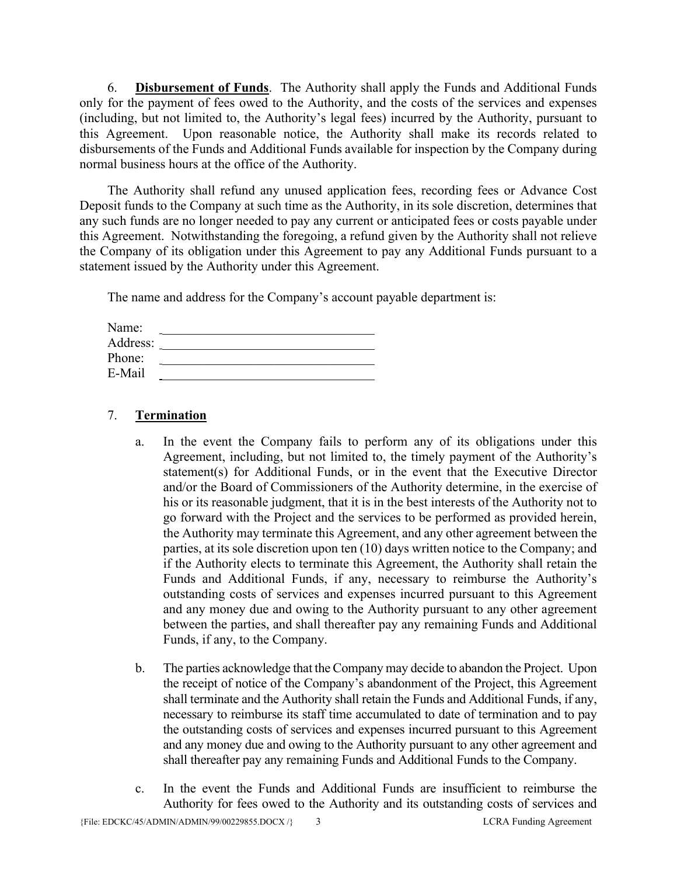6. **Disbursement of Funds**. The Authority shall apply the Funds and Additional Funds only for the payment of fees owed to the Authority, and the costs of the services and expenses (including, but not limited to, the Authority's legal fees) incurred by the Authority, pursuant to this Agreement. Upon reasonable notice, the Authority shall make its records related to disbursements of the Funds and Additional Funds available for inspection by the Company during normal business hours at the office of the Authority.

The Authority shall refund any unused application fees, recording fees or Advance Cost Deposit funds to the Company at such time as the Authority, in its sole discretion, determines that any such funds are no longer needed to pay any current or anticipated fees or costs payable under this Agreement. Notwithstanding the foregoing, a refund given by the Authority shall not relieve the Company of its obligation under this Agreement to pay any Additional Funds pursuant to a statement issued by the Authority under this Agreement.

The name and address for the Company's account payable department is:

| Name:    |  |
|----------|--|
| Address: |  |
| Phone:   |  |
| E-Mail   |  |

# 7. **Termination**

- a. In the event the Company fails to perform any of its obligations under this Agreement, including, but not limited to, the timely payment of the Authority's statement(s) for Additional Funds, or in the event that the Executive Director and/or the Board of Commissioners of the Authority determine, in the exercise of his or its reasonable judgment, that it is in the best interests of the Authority not to go forward with the Project and the services to be performed as provided herein, the Authority may terminate this Agreement, and any other agreement between the parties, at its sole discretion upon ten (10) days written notice to the Company; and if the Authority elects to terminate this Agreement, the Authority shall retain the Funds and Additional Funds, if any, necessary to reimburse the Authority's outstanding costs of services and expenses incurred pursuant to this Agreement and any money due and owing to the Authority pursuant to any other agreement between the parties, and shall thereafter pay any remaining Funds and Additional Funds, if any, to the Company.
- b. The parties acknowledge that the Company may decide to abandon the Project. Upon the receipt of notice of the Company's abandonment of the Project, this Agreement shall terminate and the Authority shall retain the Funds and Additional Funds, if any, necessary to reimburse its staff time accumulated to date of termination and to pay the outstanding costs of services and expenses incurred pursuant to this Agreement and any money due and owing to the Authority pursuant to any other agreement and shall thereafter pay any remaining Funds and Additional Funds to the Company.
- c. In the event the Funds and Additional Funds are insufficient to reimburse the Authority for fees owed to the Authority and its outstanding costs of services and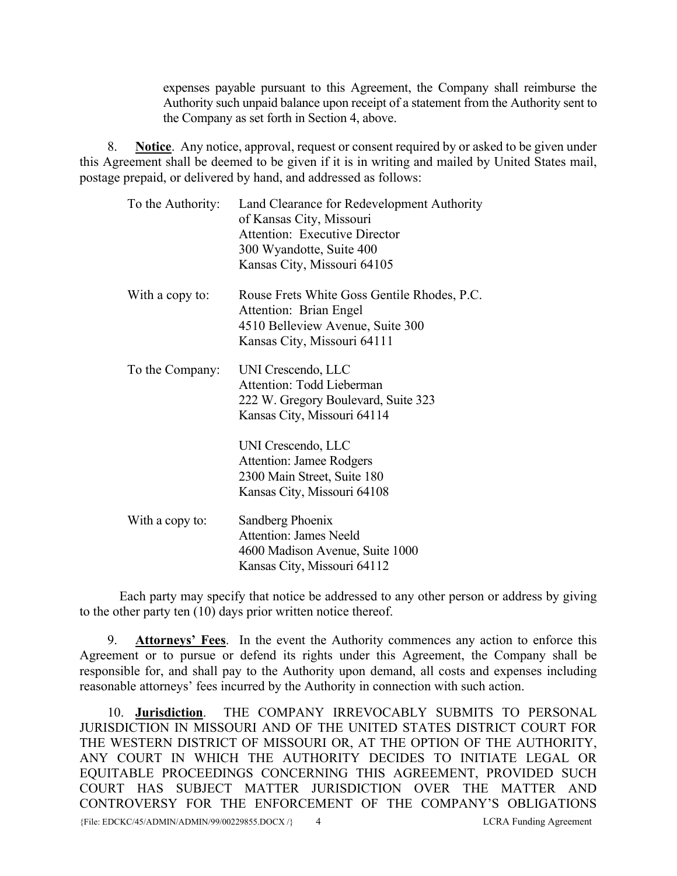expenses payable pursuant to this Agreement, the Company shall reimburse the Authority such unpaid balance upon receipt of a statement from the Authority sent to the Company as set forth in Section 4, above.

8. **Notice**. Any notice, approval, request or consent required by or asked to be given under this Agreement shall be deemed to be given if it is in writing and mailed by United States mail, postage prepaid, or delivered by hand, and addressed as follows:

| To the Authority: | Land Clearance for Redevelopment Authority<br>of Kansas City, Missouri<br><b>Attention: Executive Director</b><br>300 Wyandotte, Suite 400<br>Kansas City, Missouri 64105                                                                           |
|-------------------|-----------------------------------------------------------------------------------------------------------------------------------------------------------------------------------------------------------------------------------------------------|
| With a copy to:   | Rouse Frets White Goss Gentile Rhodes, P.C.<br>Attention: Brian Engel<br>4510 Belleview Avenue, Suite 300<br>Kansas City, Missouri 64111                                                                                                            |
| To the Company:   | UNI Crescendo, LLC<br><b>Attention: Todd Lieberman</b><br>222 W. Gregory Boulevard, Suite 323<br>Kansas City, Missouri 64114<br>UNI Crescendo, LLC<br><b>Attention: Jamee Rodgers</b><br>2300 Main Street, Suite 180<br>Kansas City, Missouri 64108 |
| With a copy to:   | Sandberg Phoenix<br>Attention: James Neeld<br>4600 Madison Avenue, Suite 1000<br>Kansas City, Missouri 64112                                                                                                                                        |

Each party may specify that notice be addressed to any other person or address by giving to the other party ten (10) days prior written notice thereof.

9. **Attorneys' Fees**. In the event the Authority commences any action to enforce this Agreement or to pursue or defend its rights under this Agreement, the Company shall be responsible for, and shall pay to the Authority upon demand, all costs and expenses including reasonable attorneys' fees incurred by the Authority in connection with such action.

{File: EDCKC/45/ADMIN/ADMIN/99/00229855.DOCX /} 4 LCRA Funding Agreement 10. **Jurisdiction**. THE COMPANY IRREVOCABLY SUBMITS TO PERSONAL JURISDICTION IN MISSOURI AND OF THE UNITED STATES DISTRICT COURT FOR THE WESTERN DISTRICT OF MISSOURI OR, AT THE OPTION OF THE AUTHORITY, ANY COURT IN WHICH THE AUTHORITY DECIDES TO INITIATE LEGAL OR EQUITABLE PROCEEDINGS CONCERNING THIS AGREEMENT, PROVIDED SUCH COURT HAS SUBJECT MATTER JURISDICTION OVER THE MATTER AND CONTROVERSY FOR THE ENFORCEMENT OF THE COMPANY'S OBLIGATIONS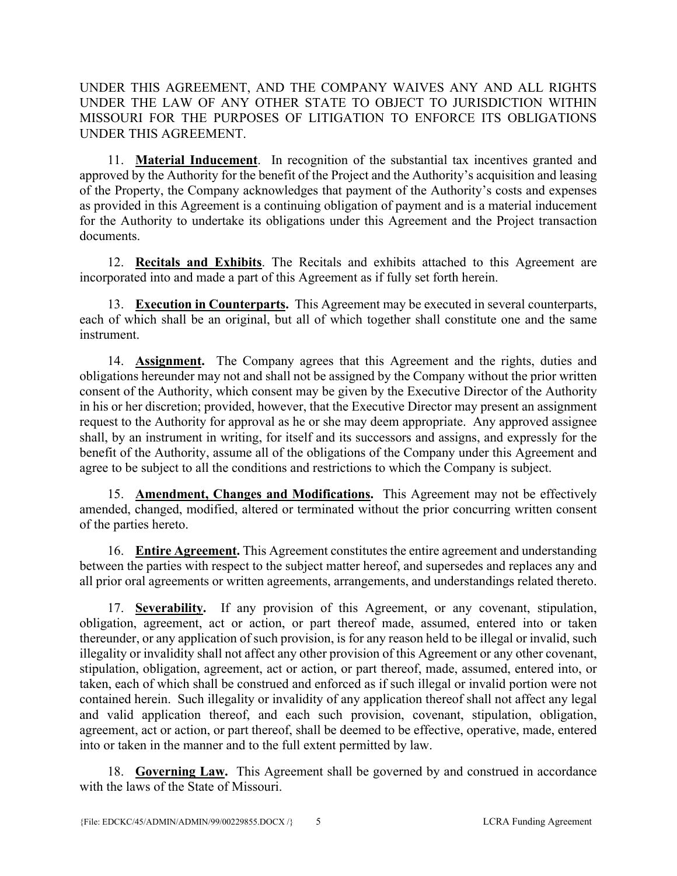UNDER THIS AGREEMENT, AND THE COMPANY WAIVES ANY AND ALL RIGHTS UNDER THE LAW OF ANY OTHER STATE TO OBJECT TO JURISDICTION WITHIN MISSOURI FOR THE PURPOSES OF LITIGATION TO ENFORCE ITS OBLIGATIONS UNDER THIS AGREEMENT.

11. **Material Inducement**. In recognition of the substantial tax incentives granted and approved by the Authority for the benefit of the Project and the Authority's acquisition and leasing of the Property, the Company acknowledges that payment of the Authority's costs and expenses as provided in this Agreement is a continuing obligation of payment and is a material inducement for the Authority to undertake its obligations under this Agreement and the Project transaction documents.

12. **Recitals and Exhibits**. The Recitals and exhibits attached to this Agreement are incorporated into and made a part of this Agreement as if fully set forth herein.

13. **Execution in Counterparts.** This Agreement may be executed in several counterparts, each of which shall be an original, but all of which together shall constitute one and the same instrument.

14. **Assignment.** The Company agrees that this Agreement and the rights, duties and obligations hereunder may not and shall not be assigned by the Company without the prior written consent of the Authority, which consent may be given by the Executive Director of the Authority in his or her discretion; provided, however, that the Executive Director may present an assignment request to the Authority for approval as he or she may deem appropriate. Any approved assignee shall, by an instrument in writing, for itself and its successors and assigns, and expressly for the benefit of the Authority, assume all of the obligations of the Company under this Agreement and agree to be subject to all the conditions and restrictions to which the Company is subject.

15. **Amendment, Changes and Modifications.** This Agreement may not be effectively amended, changed, modified, altered or terminated without the prior concurring written consent of the parties hereto.

16. **Entire Agreement.** This Agreement constitutes the entire agreement and understanding between the parties with respect to the subject matter hereof, and supersedes and replaces any and all prior oral agreements or written agreements, arrangements, and understandings related thereto.

17. **Severability.** If any provision of this Agreement, or any covenant, stipulation, obligation, agreement, act or action, or part thereof made, assumed, entered into or taken thereunder, or any application of such provision, is for any reason held to be illegal or invalid, such illegality or invalidity shall not affect any other provision of this Agreement or any other covenant, stipulation, obligation, agreement, act or action, or part thereof, made, assumed, entered into, or taken, each of which shall be construed and enforced as if such illegal or invalid portion were not contained herein. Such illegality or invalidity of any application thereof shall not affect any legal and valid application thereof, and each such provision, covenant, stipulation, obligation, agreement, act or action, or part thereof, shall be deemed to be effective, operative, made, entered into or taken in the manner and to the full extent permitted by law.

18. **Governing Law.** This Agreement shall be governed by and construed in accordance with the laws of the State of Missouri.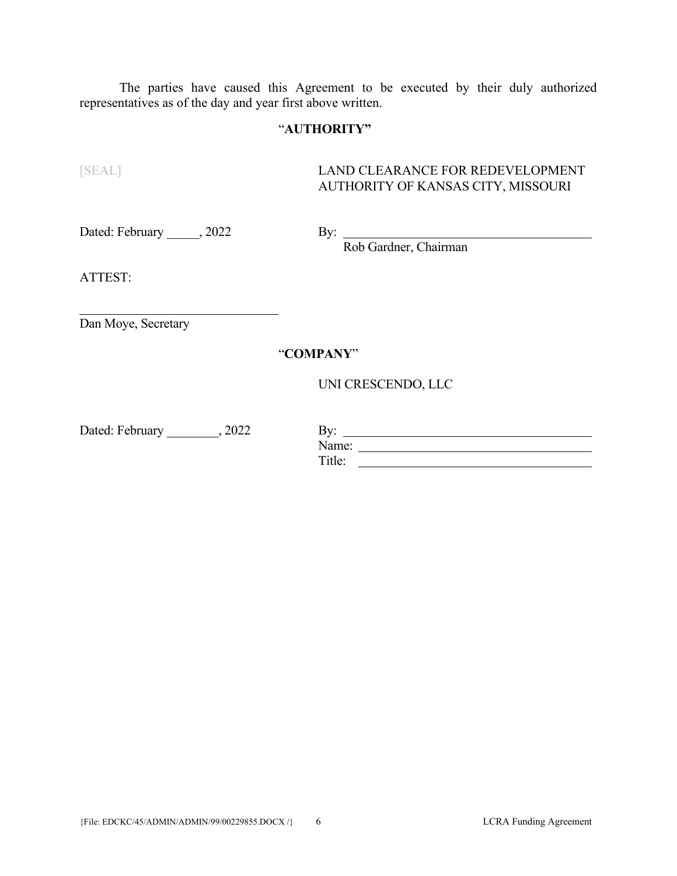The parties have caused this Agreement to be executed by their duly authorized representatives as of the day and year first above written.

## "**AUTHORITY"**

[SEAL] LAND CLEARANCE FOR REDEVELOPMENT AUTHORITY OF KANSAS CITY, MISSOURI

Dated: February \_\_\_\_\_, 2022

By: Rob Gardner, Chairman

ATTEST:

 $\overline{a}$ 

Dan Moye, Secretary

"**COMPANY**"

UNI CRESCENDO, LLC

| Dated: February | 2022 | D. 70<br><b>.</b> |
|-----------------|------|-------------------|
|                 |      | Name:             |
|                 |      | Title:            |